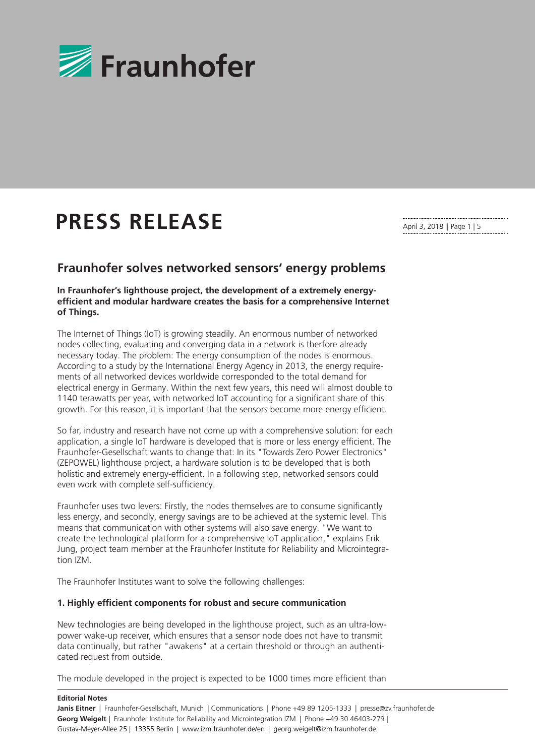

# **PRESS RELEASE**

April 3, 2018 || Page 1 | 5

# **Fraunhofer solves networked sensors' energy problems**

# **In Fraunhofer's lighthouse project, the development of a extremely energyefficient and modular hardware creates the basis for a comprehensive Internet of Things.**

The Internet of Things (IoT) is growing steadily. An enormous number of networked nodes collecting, evaluating and converging data in a network is therfore already necessary today. The problem: The energy consumption of the nodes is enormous. According to a study by the International Energy Agency in 2013, the energy requirements of all networked devices worldwide corresponded to the total demand for electrical energy in Germany. Within the next few years, this need will almost double to 1140 terawatts per year, with networked IoT accounting for a significant share of this growth. For this reason, it is important that the sensors become more energy efficient.

So far, industry and research have not come up with a comprehensive solution: for each application, a single IoT hardware is developed that is more or less energy efficient. The Fraunhofer-Gesellschaft wants to change that: In its "Towards Zero Power Electronics" (ZEPOWEL) lighthouse project, a hardware solution is to be developed that is both holistic and extremely energy-efficient. In a following step, networked sensors could even work with complete self-sufficiency.

Fraunhofer uses two levers: Firstly, the nodes themselves are to consume significantly less energy, and secondly, energy savings are to be achieved at the systemic level. This means that communication with other systems will also save energy. "We want to create the technological platform for a comprehensive IoT application," explains Erik Jung, project team member at the Fraunhofer Institute for Reliability and Microintegration IZM.

The Fraunhofer Institutes want to solve the following challenges:

#### **1. Highly efficient components for robust and secure communication**

New technologies are being developed in the lighthouse project, such as an ultra-lowpower wake-up receiver, which ensures that a sensor node does not have to transmit data continually, but rather "awakens" at a certain threshold or through an authenticated request from outside.

The module developed in the project is expected to be 1000 times more efficient than

#### **Editorial Notes**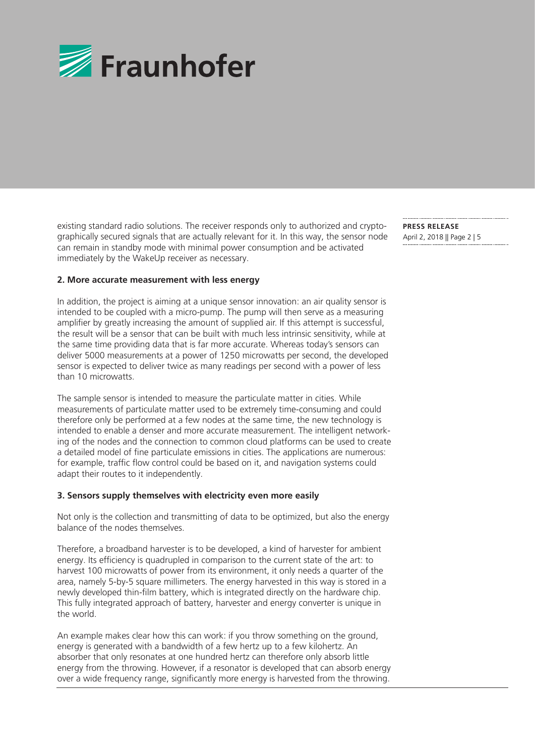

existing standard radio solutions. The receiver responds only to authorized and cryptographically secured signals that are actually relevant for it. In this way, the sensor node can remain in standby mode with minimal power consumption and be activated immediately by the WakeUp receiver as necessary.

**PRESS RELEASE**  April 2, 2018 || Page 2 | 5

#### **2. More accurate measurement with less energy**

In addition, the project is aiming at a unique sensor innovation: an air quality sensor is intended to be coupled with a micro-pump. The pump will then serve as a measuring amplifier by greatly increasing the amount of supplied air. If this attempt is successful, the result will be a sensor that can be built with much less intrinsic sensitivity, while at the same time providing data that is far more accurate. Whereas today's sensors can deliver 5000 measurements at a power of 1250 microwatts per second, the developed sensor is expected to deliver twice as many readings per second with a power of less than 10 microwatts.

The sample sensor is intended to measure the particulate matter in cities. While measurements of particulate matter used to be extremely time-consuming and could therefore only be performed at a few nodes at the same time, the new technology is intended to enable a denser and more accurate measurement. The intelligent networking of the nodes and the connection to common cloud platforms can be used to create a detailed model of fine particulate emissions in cities. The applications are numerous: for example, traffic flow control could be based on it, and navigation systems could adapt their routes to it independently.

#### **3. Sensors supply themselves with electricity even more easily**

Not only is the collection and transmitting of data to be optimized, but also the energy balance of the nodes themselves.

Therefore, a broadband harvester is to be developed, a kind of harvester for ambient energy. Its efficiency is quadrupled in comparison to the current state of the art: to harvest 100 microwatts of power from its environment, it only needs a quarter of the area, namely 5-by-5 square millimeters. The energy harvested in this way is stored in a newly developed thin-film battery, which is integrated directly on the hardware chip. This fully integrated approach of battery, harvester and energy converter is unique in the world.

An example makes clear how this can work: if you throw something on the ground, energy is generated with a bandwidth of a few hertz up to a few kilohertz. An absorber that only resonates at one hundred hertz can therefore only absorb little energy from the throwing. However, if a resonator is developed that can absorb energy over a wide frequency range, significantly more energy is harvested from the throwing.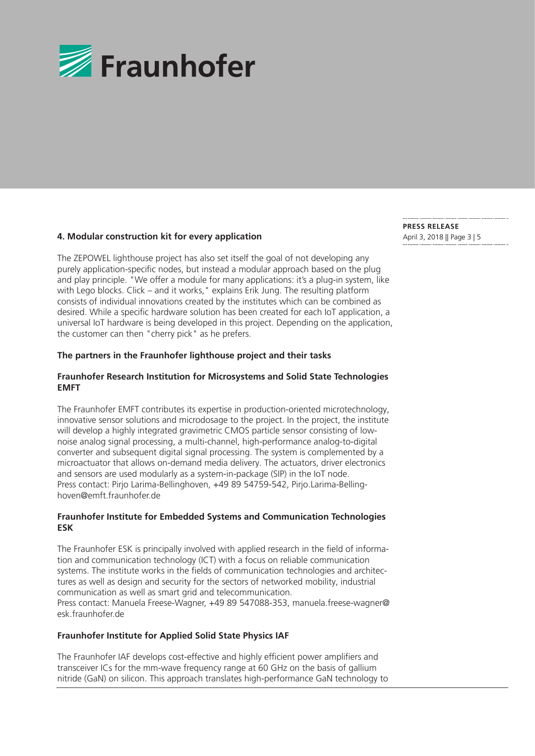

# **4. Modular construction kit for every application** April 3, 2018 || Page 3 | 5

The ZEPOWEL lighthouse project has also set itself the goal of not developing any purely application-specific nodes, but instead a modular approach based on the plug and play principle. "We offer a module for many applications: it's a plug-in system, like with Lego blocks. Click – and it works, "explains Erik Jung. The resulting platform consists of individual innovations created by the institutes which can be combined as desired. While a specific hardware solution has been created for each IoT application, a universal IoT hardware is being developed in this project. Depending on the application, the customer can then "cherry pick" as he prefers.

#### **The partners in the Fraunhofer lighthouse project and their tasks**

# **Fraunhofer Research Institution for Microsystems and Solid State Technologies EMFT**

The Fraunhofer EMFT contributes its expertise in production-oriented microtechnology, innovative sensor solutions and microdosage to the project. In the project, the institute will develop a highly integrated gravimetric CMOS particle sensor consisting of lownoise analog signal processing, a multi-channel, high-performance analog-to-digital converter and subsequent digital signal processing. The system is complemented by a microactuator that allows on-demand media delivery. The actuators, driver electronics and sensors are used modularly as a system-in-package (SIP) in the IoT node. Press contact: Pirjo Larima-Bellinghoven, +49 89 54759-542, Pirjo.Larima-Bellinghoven@emft.fraunhofer.de

# **Fraunhofer Institute for Embedded Systems and Communication Technologies ESK**

The Fraunhofer ESK is principally involved with applied research in the field of information and communication technology (ICT) with a focus on reliable communication systems. The institute works in the fields of communication technologies and architectures as well as design and security for the sectors of networked mobility, industrial communication as well as smart grid and telecommunication. Press contact: Manuela Freese-Wagner, +49 89 547088-353, manuela.freese-wagner@ esk.fraunhofer.de

# **Fraunhofer Institute for Applied Solid State Physics IAF**

The Fraunhofer IAF develops cost-effective and highly efficient power amplifiers and transceiver ICs for the mm-wave frequency range at 60 GHz on the basis of gallium nitride (GaN) on silicon. This approach translates high-performance GaN technology to **PRESS RELEASE**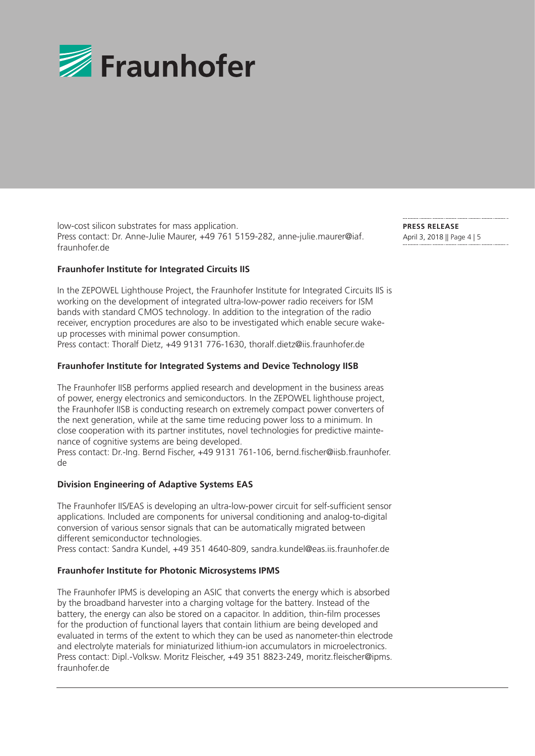

low-cost silicon substrates for mass application. Press contact: Dr. Anne-Julie Maurer, +49 761 5159-282, anne-julie.maurer@iaf. fraunhofer.de

**Fraunhofer Institute for Integrated Circuits IIS**

In the ZEPOWEL Lighthouse Project, the Fraunhofer Institute for Integrated Circuits IIS is working on the development of integrated ultra-low-power radio receivers for ISM bands with standard CMOS technology. In addition to the integration of the radio receiver, encryption procedures are also to be investigated which enable secure wakeup processes with minimal power consumption.

Press contact: Thoralf Dietz, +49 9131 776-1630, thoralf.dietz@iis.fraunhofer.de

# **Fraunhofer Institute for Integrated Systems and Device Technology IISB**

The Fraunhofer IISB performs applied research and development in the business areas of power, energy electronics and semiconductors. In the ZEPOWEL lighthouse project, the Fraunhofer IISB is conducting research on extremely compact power converters of the next generation, while at the same time reducing power loss to a minimum. In close cooperation with its partner institutes, novel technologies for predictive maintenance of cognitive systems are being developed.

Press contact: Dr.-Ing. Bernd Fischer, +49 9131 761-106, bernd.fischer@iisb.fraunhofer. de

# **Division Engineering of Adaptive Systems EAS**

The Fraunhofer IIS/EAS is developing an ultra-low-power circuit for self-sufficient sensor applications. Included are components for universal conditioning and analog-to-digital conversion of various sensor signals that can be automatically migrated between different semiconductor technologies.

Press contact: Sandra Kundel, +49 351 4640-809, sandra.kundel@eas.iis.fraunhofer.de

# **Fraunhofer Institute for Photonic Microsystems IPMS**

The Fraunhofer IPMS is developing an ASIC that converts the energy which is absorbed by the broadband harvester into a charging voltage for the battery. Instead of the battery, the energy can also be stored on a capacitor. In addition, thin-film processes for the production of functional layers that contain lithium are being developed and evaluated in terms of the extent to which they can be used as nanometer-thin electrode and electrolyte materials for miniaturized lithium-ion accumulators in microelectronics. Press contact: Dipl.-Volksw. Moritz Fleischer, +49 351 8823-249, moritz.fleischer@ipms. fraunhofer.de

**PRESS RELEASE**  April 3, 2018 || Page 4 | 5